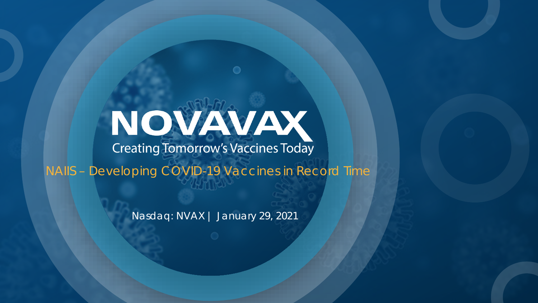# NOVAVAV

NAIIS – Developing COVID-19 Vaccines in Record Time

Nasdaq: NVAX | January 29, 2021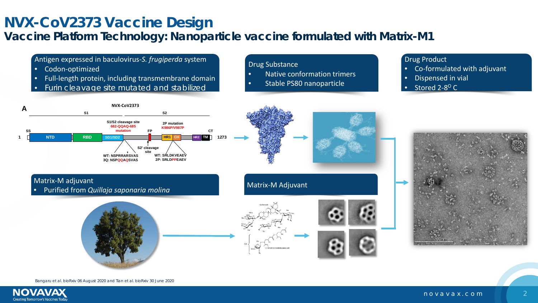#### **NVX-CoV2373 Vaccine Design**

#### **Vaccine Platform Technology: Nanoparticle vaccine formulated with Matrix-M1**



Bangaru et al. bioRxiv 06 August 2020 and Tian et al. bioRxiv 30 June 2020

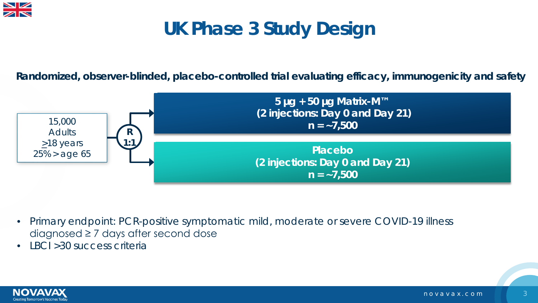

### **UK Phase 3 Study Design**

**Randomized, observer-blinded, placebo-controlled trial evaluating efficacy, immunogenicity and safety**



- Primary endpoint: PCR-positive symptomatic mild, moderate or severe COVID-19 illness diagnosed  $\geq 7$  days after second dose
- IBCI > 30 success criteria

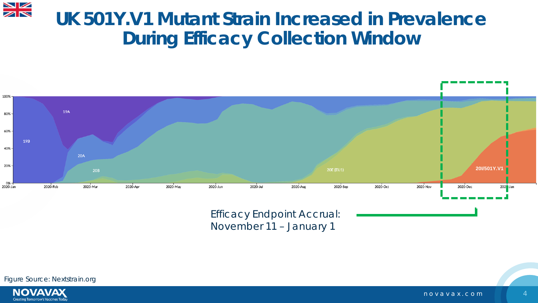#### **UK 501Y.V1 Mutant Strain Increased in Prevalence During Efficacy Collection Window**



Efficacy Endpoint Accrual: November 11 – January 1

Figure Source: Nextstrain.org



 $\frac{N}{N}$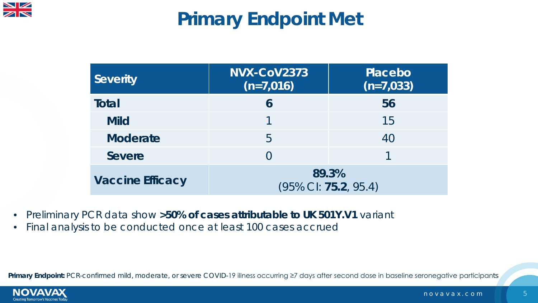

## **Primary Endpoint Met**

| <b>Severity</b>         | NVX-CoV2373<br>$(n=7,016)$    | <b>Placebo</b><br>$(n=7,033)$ |  |  |
|-------------------------|-------------------------------|-------------------------------|--|--|
| Total                   | 6                             | 56                            |  |  |
| <b>Mild</b>             |                               | 15                            |  |  |
| <b>Moderate</b>         | 5                             | 40                            |  |  |
| <b>Severe</b>           |                               |                               |  |  |
| <b>Vaccine Efficacy</b> | 89.3%<br>(95% CI: 75.2, 95.4) |                               |  |  |

- Preliminary PCR data show **>50% of cases attributable to UK 501Y.V1** variant
- Final analysis to be conducted once at least 100 cases accrued

Primary Endpoint: PCR-confirmed mild, moderate, or severe COVID-19 illness occurring ≥7 days after second dose in baseline seronegative participants

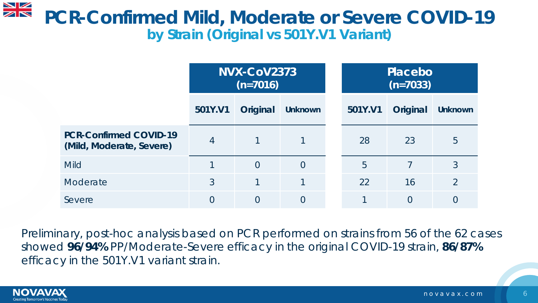#### $\frac{\sum x}{\sum x}$ **PCR-Confirmed Mild, Moderate or Severe COVID-19 by Strain (Original vs 501Y.V1 Variant)**

|                                                           | <b>NVX-CoV2373</b><br>$(n=7016)$ |          |                | Placebo<br>$(n=7033)$ |          |                |
|-----------------------------------------------------------|----------------------------------|----------|----------------|-----------------------|----------|----------------|
|                                                           | 501Y.V1                          | Original | <b>Unknown</b> | 501Y.V1               | Original | <b>Unknown</b> |
| <b>PCR-Confirmed COVID-19</b><br>(Mild, Moderate, Severe) | $\overline{4}$                   |          |                | 28                    | 23       | 5              |
| <b>Mild</b>                                               |                                  | $\Omega$ | $\overline{0}$ | 5                     | 7        | 3              |
| Moderate                                                  | 3                                |          |                | 22                    | 16       | $\overline{2}$ |
| Severe                                                    | $\Omega$                         | $\Omega$ | $\overline{0}$ | и                     | 0        | $\overline{O}$ |

Preliminary, post-hoc analysis based on PCR performed on strains from 56 of the 62 cases showed **96/94%** PP/Moderate-Severe efficacy in the original COVID-19 strain, **86/87%** efficacy in the 501Y.V1 variant strain.

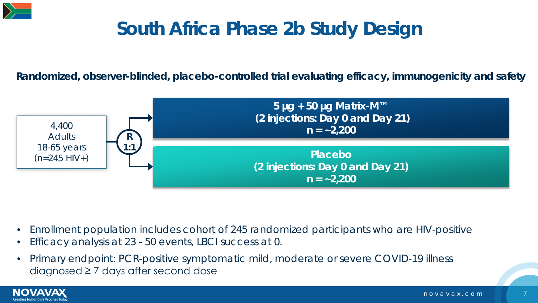

### **South Africa Phase 2b Study Design**

**Randomized, observer-blinded, placebo-controlled trial evaluating efficacy, immunogenicity and safety**



- Enrollment population includes cohort of 245 randomized participants who are HIV-positive
- Efficacy analysis at 23 50 events, LBCI success at 0.
- Primary endpoint: PCR-positive symptomatic mild, moderate or severe COVID-19 illness diagnosed ≥ 7 days after second dose

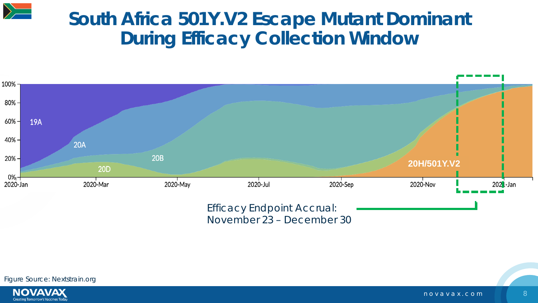

#### **South Africa 501Y.V2 Escape Mutant Dominant During Efficacy Collection Window**



November 23 – December 30



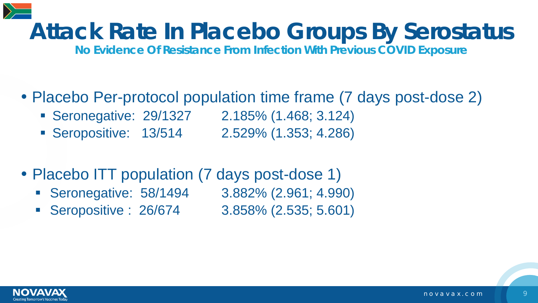

# **Attack Rate In Placebo Groups By Serostatus**

**No Evidence Of Resistance From Infection With Previous COVID Exposure**

- Placebo Per-protocol population time frame (7 days post-dose 2)
	- Seronegative: 29/1327 2.185% (1.468; 3.124)
	- Seropositive: 13/514 2.529% (1.353; 4.286)
- Placebo ITT population (7 days post-dose 1)
	- Seronegative: 58/1494 3.882% (2.961; 4.990)
	- Seropositive : 26/674 3.858% (2.535; 5.601)

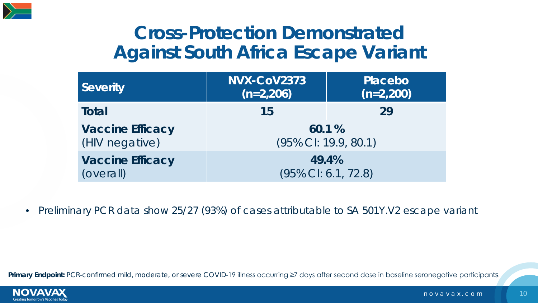

#### **Cross-Protection Demonstrated Against South Africa Escape Variant**

| <b>Severity</b>         | NVX-CoV2373<br>$(n=2,206)$ | Placebo<br>$(n=2,200)$ |  |  |
|-------------------------|----------------------------|------------------------|--|--|
| Total                   | 15                         | 29                     |  |  |
| <b>Vaccine Efficacy</b> | 60.1%                      |                        |  |  |
| (HIV negative)          | (95% CI: 19.9, 80.1)       |                        |  |  |
| <b>Vaccine Efficacy</b> | 49.4%                      |                        |  |  |
| (overall)               | (95% CI: 6.1, 72.8)        |                        |  |  |

• Preliminary PCR data show 25/27 (93%) of cases attributable to SA 501Y.V2 escape variant

Primary Endpoint: PCR-confirmed mild, moderate, or severe COVID-19 illness occurring ≥7 days after second dose in baseline seronegative participants

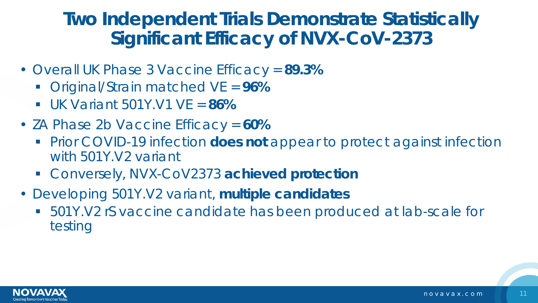#### **Two Independent Trials Demonstrate Statistically Significant Efficacy of NVX-CoV-2373**

- Overall UK Phase 3 Vaccine Efficacy = **89.3%**
	- Original/Strain matched VE = **96%**
	- UK Variant 501Y.V1 VE = **86%**
- ZA Phase 2b Vaccine Efficacy = **60%**
	- **Prior COVID-19 infection does not appear to protect against infection** with 501Y.V2 variant
	- Conversely, NVX-CoV2373 **achieved protection**
- Developing 501Y.V2 variant, **multiple candidates**
	- 501Y.V2 rS vaccine candidate has been produced at lab-scale for testing